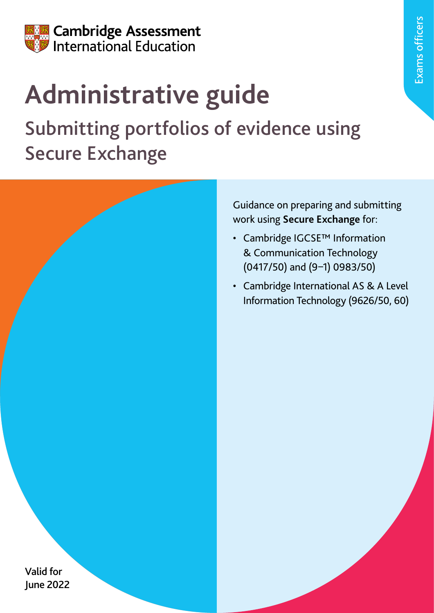

# **Administrative guide**

## Submitting portfolios of evidence using Secure Exchange

Guidance on preparing and submitting work using **Secure Exchange** for:

- Cambridge IGCSE™ Information & Communication Technology (0417/50) and (9–1) 0983/50)
- Cambridge International AS & A Level Information Technology (9626/50, 60)

Exams officers

Valid for June 2022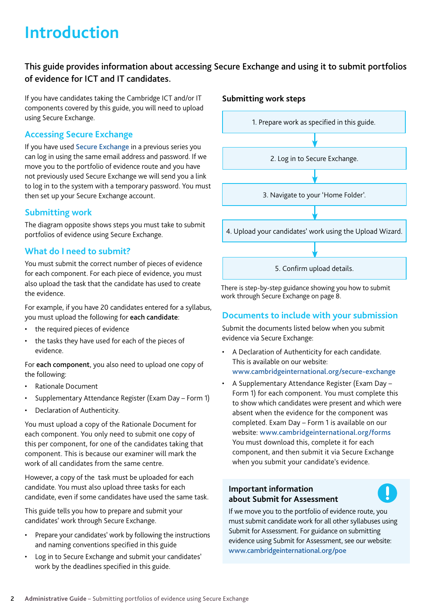### **Introduction**

#### This guide provides information about accessing Secure Exchange and using it to submit portfolios of evidence for ICT and IT candidates.

If you have candidates taking the Cambridge ICT and/or IT components covered by this guide, you will need to upload using Secure Exchange.

#### **Accessing Secure Exchange**

If you have used [Secure Exchange](https://exchange.cambridgeinternational.org/) in a previous series you can log in using the same email address and password. If we move you to the portfolio of evidence route and you have not previously used Secure Exchange we will send you a link to log in to the system with a temporary password. You must then set up your Secure Exchange account.

#### **Submitting work**

The diagram opposite shows steps you must take to submit portfolios of evidence using Secure Exchange.

#### **What do I need to submit?**

You must submit the correct number of pieces of evidence for each component. For each piece of evidence, you must also upload the task that the candidate has used to create the evidence.

For example, if you have 20 candidates entered for a syllabus, you must upload the following for each candidate:

- the required pieces of evidence
- the tasks they have used for each of the pieces of evidence.

For each component, you also need to upload one copy of the following:

- Rationale Document
- Supplementary Attendance Register (Exam Day Form 1)
- Declaration of Authenticity.

You must upload a copy of the Rationale Document for each component. You only need to submit one copy of this per component, for one of the candidates taking that component. This is because our examiner will mark the work of all candidates from the same centre.

However, a copy of the task must be uploaded for each candidate. You must also upload three tasks for each candidate, even if some candidates have used the same task.

This guide tells you how to prepare and submit your candidates' work through Secure Exchange.

- Prepare your candidates' work by following the instructions and naming conventions specified in this guide
- Log in to Secure Exchange and submit your candidates' work by the deadlines specified in this guide.





There is step-by-step guidance showing you how to submit work through Secure Exchange on page 8.

#### **Documents to include with your submission**

Submit the documents listed below when you submit evidence via Secure Exchange:

- A Declaration of Authenticity for each candidate. This is available on our website: [www.cambridgeinternational.org/secure-exchange](http://www.cambridgeinternational.org/secure-exchange)
- A Supplementary Attendance Register (Exam Day Form 1) for each component. You must complete this to show which candidates were present and which were absent when the evidence for the component was completed. Exam Day – Form 1 is available on our website: [www.cambridgeinternational.org/forms](https://www.cambridgeinternational.org/exam-administration/cambridge-exams-officers-guide/administrative-forms/) You must download this, complete it for each component, and then submit it via Secure Exchange when you submit your candidate's evidence.

#### **Important information about Submit for Assessment**

If we move you to the portfolio of evidence route, you must submit candidate work for all other syllabuses using Submit for Assessment. For guidance on submitting evidence using Submit for Assessment, see our website: [www.cambridgeinternational.org/poe](http://www.cambridgeinternational.org/poe)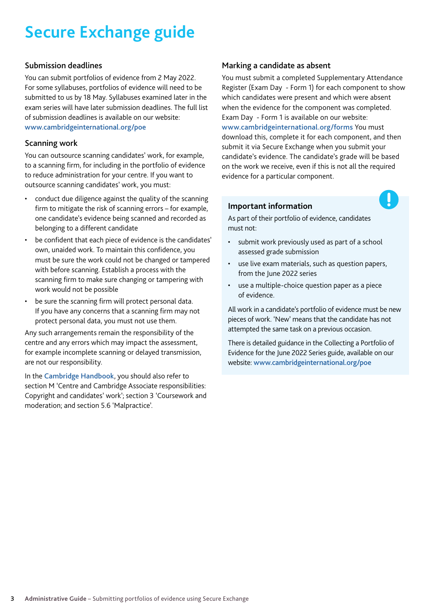### **Secure Exchange guide**

#### Submission deadlines

You can submit portfolios of evidence from 2 May 2022. For some syllabuses, portfolios of evidence will need to be submitted to us by 18 May. Syllabuses examined later in the exam series will have later submission deadlines. The full list of submission deadlines is available on our website: [www.cambridgeinternational.org/poe](http://www.cambridgeinternational.org/poe)

#### Scanning work

You can outsource scanning candidates' work, for example, to a scanning firm, for including in the portfolio of evidence to reduce administration for your centre. If you want to outsource scanning candidates' work, you must:

- conduct due diligence against the quality of the scanning firm to mitigate the risk of scanning errors – for example, one candidate's evidence being scanned and recorded as belonging to a different candidate
- be confident that each piece of evidence is the candidates' own, unaided work. To maintain this confidence, you must be sure the work could not be changed or tampered with before scanning. Establish a process with the scanning firm to make sure changing or tampering with work would not be possible
- be sure the scanning firm will protect personal data. If you have any concerns that a scanning firm may not protect personal data, you must not use them.

Any such arrangements remain the responsibility of the centre and any errors which may impact the assessment, for example incomplete scanning or delayed transmission, are not our responsibility.

In the [Cambridge Handbook](http://www.cambridgeinternational.org/eoguide), you should also refer to section M 'Centre and Cambridge Associate responsibilities: Copyright and candidates' work'; section 3 'Coursework and moderation; and section 5.6 'Malpractice'.

#### Marking a candidate as absent

You must submit a completed Supplementary Attendance Register (Exam Day - Form 1) for each component to show which candidates were present and which were absent when the evidence for the component was completed. Exam Day - Form 1 is available on our website: [www.cambridgeinternational.org/forms](http://www.cambridgeinternational.org/forms) You must download this, complete it for each component, and then submit it via Secure Exchange when you submit your candidate's evidence. The candidate's grade will be based on the work we receive, even if this is not all the required evidence for a particular component.

Ţ

#### **Important information**

As part of their portfolio of evidence, candidates must not:

- submit work previously used as part of a school assessed grade submission
- use live exam materials, such as question papers, from the June 2022 series
- use a multiple-choice question paper as a piece of evidence.

All work in a candidate's portfolio of evidence must be new pieces of work. 'New' means that the candidate has not attempted the same task on a previous occasion.

There is detailed guidance in the Collecting a Portfolio of Evidence for the June 2022 Series guide, available on our website: [www.cambridgeinternational.org/poe](http://www.cambridgeinternational.org/poe)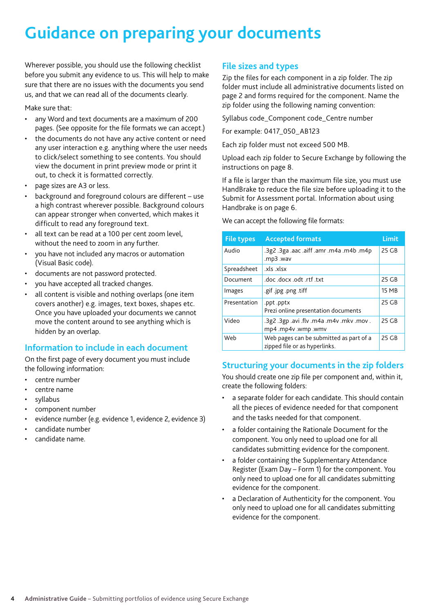### **Guidance on preparing your documents**

Wherever possible, you should use the following checklist before you submit any evidence to us. This will help to make sure that there are no issues with the documents you send us, and that we can read all of the documents clearly.

Make sure that:

- any Word and text documents are a maximum of 200 pages. (See opposite for the file formats we can accept.)
- the documents do not have any active content or need any user interaction e.g. anything where the user needs to click/select something to see contents. You should view the document in print preview mode or print it out, to check it is formatted correctly.
- page sizes are A3 or less.
- background and foreground colours are different use a high contrast wherever possible. Background colours can appear stronger when converted, which makes it difficult to read any foreground text.
- all text can be read at a 100 per cent zoom level, without the need to zoom in any further.
- you have not included any macros or automation (Visual Basic code).
- documents are not password protected.
- you have accepted all tracked changes.
- all content is visible and nothing overlaps (one item covers another) e.g. images, text boxes, shapes etc. Once you have uploaded your documents we cannot move the content around to see anything which is hidden by an overlap.

#### **Information to include in each document**

On the first page of every document you must include the following information:

- centre number
- centre name
- syllabus
- component number
- evidence number (e.g. evidence 1, evidence 2, evidence 3)
- candidate number
- candidate name.

#### **File sizes and types**

Zip the files for each component in a zip folder. The zip folder must include all administrative documents listed on page 2 and forms required for the component. Name the zip folder using the following naming convention:

Syllabus code\_Component code\_Centre number

For example: 0417\_050\_AB123

Each zip folder must not exceed 500 MB.

Upload each zip folder to Secure Exchange by following the instructions on page 8.

If a file is larger than the maximum file size, you must use HandBrake to reduce the file size before uploading it to the Submit for Assessment portal. Information about using Handbrake is on page 6.

We can accept the following file formats:

| <b>File types</b> | <b>Accepted formats</b>                                                  | Limit |
|-------------------|--------------------------------------------------------------------------|-------|
| Audio             | .3g2.3ga.aac.aiff.amr.m4a.m4b.m4p<br>.mp3 .wav                           | 25 GB |
| Spreadsheet       | xls xlsx.                                                                |       |
| Document          | txt. docx .odt .rtf .txt.                                                | 25 GB |
| Images            | gif .jpg .png .tiff                                                      | 15 MB |
| Presentation      | .ppt .pptx<br>Prezi online presentation documents                        | 25 GB |
| Video             | . 3g2 .3gp .avi .flv .m4a .m4v .mkv .mov.<br>mp4.mp4v.wmp.wmv            | 25 GB |
| Web               | Web pages can be submitted as part of a<br>zipped file or as hyperlinks. | 25 GB |

#### **Structuring your documents in the zip folders**

You should create one zip file per component and, within it, create the following folders:

- a separate folder for each candidate. This should contain all the pieces of evidence needed for that component and the tasks needed for that component.
- a folder containing the Rationale Document for the component. You only need to upload one for all candidates submitting evidence for the component.
- a folder containing the Supplementary Attendance Register (Exam Day – Form 1) for the component. You only need to upload one for all candidates submitting evidence for the component.
- a Declaration of Authenticity for the component. You only need to upload one for all candidates submitting evidence for the component.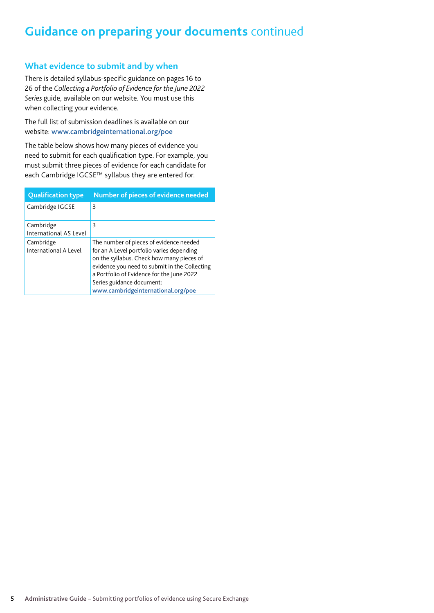#### **Guidance on preparing your documents** continued

#### **What evidence to submit and by when**

There is detailed syllabus-specific guidance on pages 16 to 26 of the *Collecting a Portfolio of Evidence for the June 2022 Series* guide, available on our website. You must use this when collecting your evidence.

The full list of submission deadlines is available on our website: [www.cambridgeinternational.org/poe](http://www.cambridgeinternational.org/poe)

The table below shows how many pieces of evidence you need to submit for each qualification type. For example, you must submit three pieces of evidence for each candidate for each Cambridge IGCSE™ syllabus they are entered for.

| <b>Qualification type</b>           | Number of pieces of evidence needed                                                                                                                                                                                                                                                                |
|-------------------------------------|----------------------------------------------------------------------------------------------------------------------------------------------------------------------------------------------------------------------------------------------------------------------------------------------------|
| Cambridge IGCSE                     | Β                                                                                                                                                                                                                                                                                                  |
| Cambridge<br>International AS Level | Β                                                                                                                                                                                                                                                                                                  |
| Cambridge<br>International A Level  | The number of pieces of evidence needed<br>for an A Level portfolio varies depending<br>on the syllabus. Check how many pieces of<br>evidence you need to submit in the Collecting<br>a Portfolio of Evidence for the June 2022<br>Series guidance document:<br>www.cambridgeinternational.org/poe |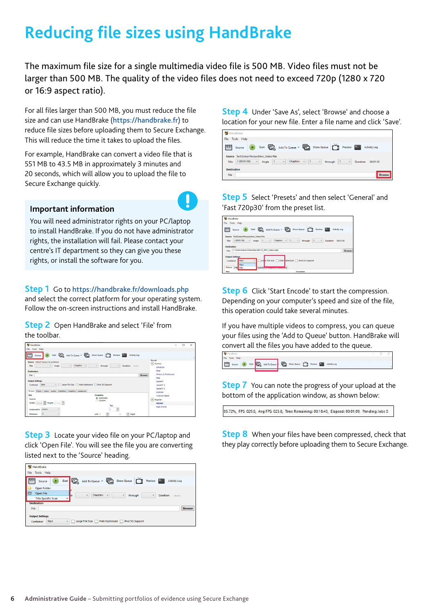### **Reducing file sizes using HandBrake**

The maximum file size for a single multimedia video file is 500 MB. Video files must not be larger than 500 MB. The quality of the video files does not need to exceed 720p (1280 x 720 or 16:9 aspect ratio).

For all files larger than 500 MB, you must reduce the file size and can use HandBrake (<https://handbrake.fr>) to reduce file sizes before uploading them to Secure Exchange. This will reduce the time it takes to upload the files.

For example, HandBrake can convert a video file that is 551 MB to 43.5 MB in approximately 3 minutes and 20 seconds, which will allow you to upload the file to Secure Exchange quickly.

#### **Important information**

You will need administrator rights on your PC/laptop to install HandBrake. If you do not have administrator rights, the installation will fail. Please contact your centre's IT department so they can give you these rights, or install the software for you.

#### **Step 1** Go to <https://handbrake.fr/downloads.php>

and select the correct platform for your operating system. Follow the on-screen instructions and install HandBrake.

**Step 2** Open HandBrake and select 'File' from the toolbar.



**Step 3** Locate your video file on your PC/laptop and click 'Open File'. You will see the file you are converting listed next to the 'Source' heading.



**Step 4** Under 'Save As', select 'Browse' and choose a location for your new file. Enter a file name and click 'Save'.



**Step 5** Select 'Presets' and then select 'General' and 'Fast 720p30' from the preset list.



**Step 6** Click 'Start Encode' to start the compression. Depending on your computer's speed and size of the file, this operation could take several minutes.

If you have multiple videos to compress, you can queue your files using the 'Add to Queue' button. HandBrake will convert all the files you have added to the queue.



**Step 7** You can note the progress of your upload at the bottom of the application window, as shown below:

05.72%, FPS: 029.9, Avg FPS: 025.8, Time Remaining: 00:18:43, Elapsed: 00:01:09, Pending Jobs 0

**Step 8** When your files have been compressed, check that they play correctly before uploading them to Secure Exchange.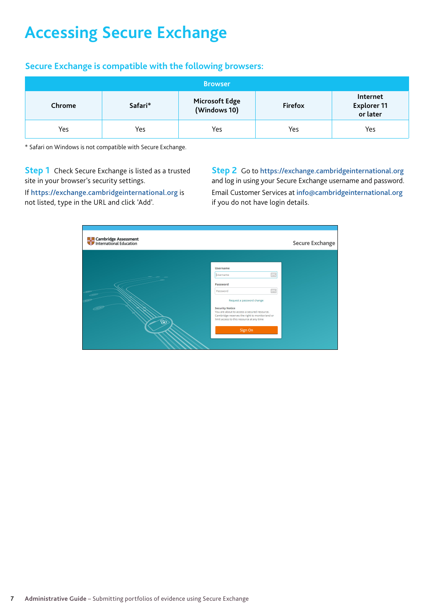### **Accessing Secure Exchange**

#### **Secure Exchange is compatible with the following browsers:**

| <b>Browser</b> |         |                                       |                |                                     |
|----------------|---------|---------------------------------------|----------------|-------------------------------------|
| Chrome         | Safari* | <b>Microsoft Edge</b><br>(Windows 10) | <b>Firefox</b> | Internet<br>Explorer 11<br>or later |
| Yes            | Yes     | Yes                                   | Yes            | Yes                                 |

\* Safari on Windows is not compatible with Secure Exchange.

**Step 1** Check Secure Exchange is listed as a trusted site in your browser's security settings.

If <https://exchange.cambridgeinternational.org> is not listed, type in the URL and click 'Add'.

**Step 2** Go to [https://exchange.cambridgeinternational.org](https://exchange.cambridgeinternational.org/)  and log in using your Secure Exchange username and password. Email Customer Services at [info@cambridgeinternational.org](mailto:info@cambridgeinternational.org) if you do not have login details.

| <b>Esta Cambridge Assessment</b><br><b>The International Education</b> |                                                                                                                                                                                                                                                                           | <b>Secure Exchange</b> |
|------------------------------------------------------------------------|---------------------------------------------------------------------------------------------------------------------------------------------------------------------------------------------------------------------------------------------------------------------------|------------------------|
| 6                                                                      | <b>Username</b><br>$\frac{1}{2}$<br>Username<br>Password<br>Password<br>Request a password change<br><b>Security Notice</b><br>You are about to access a secured resource.<br>Cambridge reserves the right to monitor/and or<br>limit access to this resource at any time |                        |
|                                                                        | Sign On                                                                                                                                                                                                                                                                   |                        |
|                                                                        |                                                                                                                                                                                                                                                                           |                        |